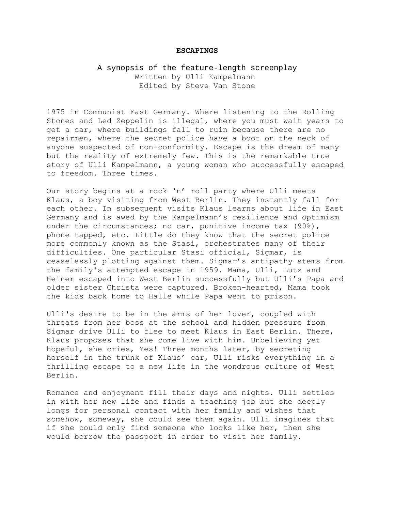## **ESCAPINGS**

## A synopsis of the feature-length screenplay Written by Ulli Kampelmann Edited by Steve Van Stone

1975 in Communist East Germany. Where listening to the Rolling Stones and Led Zeppelin is illegal, where you must wait years to get a car, where buildings fall to ruin because there are no repairmen, where the secret police have a boot on the neck of anyone suspected of non-conformity. Escape is the dream of many but the reality of extremely few. This is the remarkable true story of Ulli Kampelmann, a young woman who successfully escaped to freedom. Three times.

Our story begins at a rock 'n' roll party where Ulli meets Klaus, a boy visiting from West Berlin. They instantly fall for each other. In subsequent visits Klaus learns about life in East Germany and is awed by the Kampelmann's resilience and optimism under the circumstances; no car, punitive income tax (90%), phone tapped, etc. Little do they know that the secret police more commonly known as the Stasi, orchestrates many of their difficulties. One particular Stasi official, Sigmar, is ceaselessly plotting against them. Sigmar's antipathy stems from the family's attempted escape in 1959. Mama, Ulli, Lutz and Heiner escaped into West Berlin successfully but Ulli's Papa and older sister Christa were captured. Broken-hearted, Mama took the kids back home to Halle while Papa went to prison.

Ulli's desire to be in the arms of her lover, coupled with threats from her boss at the school and hidden pressure from Sigmar drive Ulli to flee to meet Klaus in East Berlin. There, Klaus proposes that she come live with him. Unbelieving yet hopeful, she cries, Yes! Three months later, by secreting herself in the trunk of Klaus' car, Ulli risks everything in a thrilling escape to a new life in the wondrous culture of West Berlin.

Romance and enjoyment fill their days and nights. Ulli settles in with her new life and finds a teaching job but she deeply longs for personal contact with her family and wishes that somehow, someway, she could see them again. Ulli imagines that if she could only find someone who looks like her, then she would borrow the passport in order to visit her family.